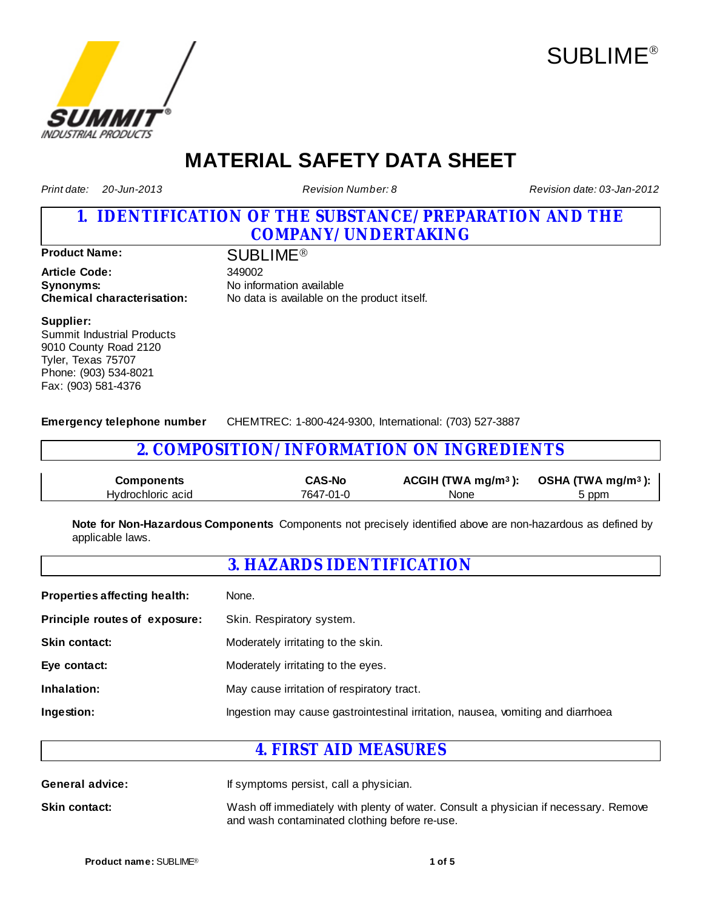



# **MATERIAL SAFETY DATA SHEET**

*Print date: 20-Jun-2013*

*Revision Number: 8*

*Revision date: 03-Jan-2012*

## **1. IDENTIFICATION OF THE SUBSTANCE/PREPARATION AND THE COMPANY/UNDERTAKING**

**Product Name:** SUBLIME<sup>®</sup>

**Article Code:** 349002 **Synonyms:** No information available

**Chemical characterisation:** No data is available on the product itself.

#### **Supplier:**

Summit Industrial Products 9010 County Road 2120 Tyler, Texas 75707 Phone: (903) 534-8021 Fax: (903) 581-4376

**Emergency telephone number** CHEMTREC: 1-800-424-9300, International: (703) 527-3887

## **2. COMPOSITION/INFORMATION ON INGREDIENTS**

| <b>Components</b> | <b>CAS-No</b> | ACGIH (TWA mg/m <sup>3</sup> ): OSHA (TWA mg/m <sup>3</sup> ): |       |
|-------------------|---------------|----------------------------------------------------------------|-------|
| Hydrochloric acid | 7647-01-0     | None                                                           | 5 ppm |

**Note for Non-Hazardous Components** Components not precisely identified above are non-hazardous as defined by applicable laws.

## **3. HAZARDS IDENTIFICATION**

| <b>Properties affecting health:</b> | None.                                                                           |
|-------------------------------------|---------------------------------------------------------------------------------|
| Principle routes of exposure:       | Skin. Respiratory system.                                                       |
| <b>Skin contact:</b>                | Moderately irritating to the skin.                                              |
| Eye contact:                        | Moderately irritating to the eyes.                                              |
| Inhalation:                         | May cause irritation of respiratory tract.                                      |
| Ingestion:                          | Ingestion may cause gastrointestinal irritation, nausea, vomiting and diarrhoea |

## **4. FIRST AID MEASURES**

**General advice:** If symptoms persist, call a physician.

**Skin contact:** Wash off immediately with plenty of water. Consult a physician if necessary. Remove and wash contaminated clothing before re-use.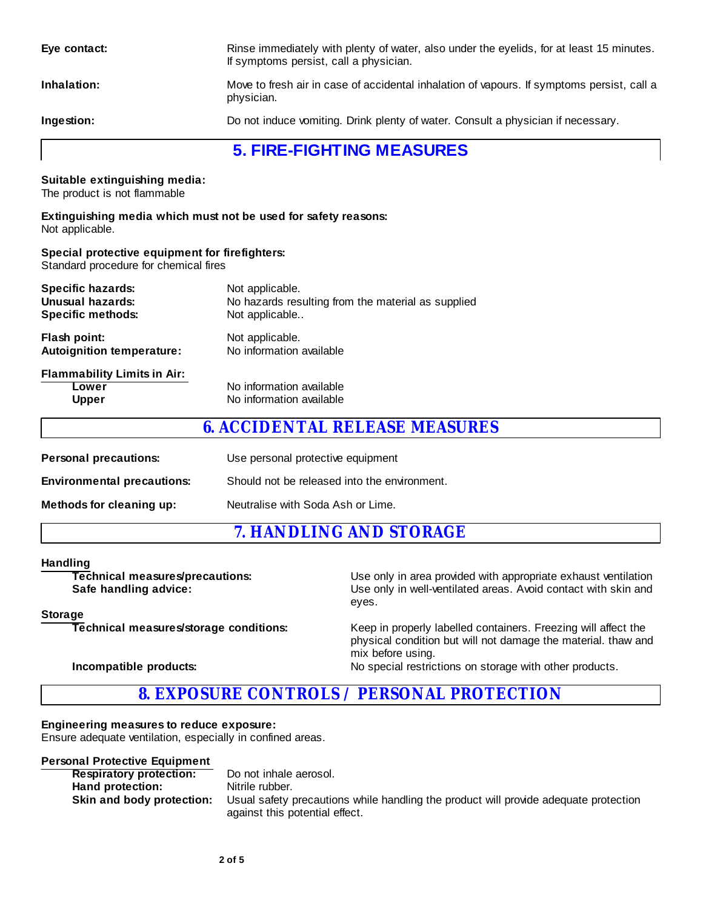| Eye contact:                                                                            | Rinse immediately with plenty of water, also under the eyelids, for at least 15 minutes.<br>If symptoms persist, call a physician. |  |  |
|-----------------------------------------------------------------------------------------|------------------------------------------------------------------------------------------------------------------------------------|--|--|
| Inhalation:                                                                             | Move to fresh air in case of accidental inhalation of vapours. If symptoms persist, call a<br>physician.                           |  |  |
| Ingestion:                                                                              | Do not induce vomiting. Drink plenty of water. Consult a physician if necessary.                                                   |  |  |
|                                                                                         | <b>5. FIRE-FIGHTING MEASURES</b>                                                                                                   |  |  |
| Suitable extinguishing media:<br>The product is not flammable                           |                                                                                                                                    |  |  |
| Not applicable.                                                                         | Extinguishing media which must not be used for safety reasons:                                                                     |  |  |
| Special protective equipment for firefighters:<br>Standard procedure for chemical fires |                                                                                                                                    |  |  |
| <b>Specific hazards:</b><br><b>Unusual hazards:</b><br><b>Specific methods:</b>         | Not applicable.<br>No hazards resulting from the material as supplied<br>Not applicable                                            |  |  |
| Flash point:<br><b>Autoignition temperature:</b>                                        | Not applicable.<br>No information available                                                                                        |  |  |
| <b>Flammability Limits in Air:</b><br>Lower<br><b>Upper</b>                             | No information available<br>No information available                                                                               |  |  |
|                                                                                         | <b>6. ACCIDENTAL RELEASE MEASURES</b>                                                                                              |  |  |
| <b>Personal precautions:</b>                                                            | Use personal protective equipment                                                                                                  |  |  |
| <b>Environmental precautions:</b>                                                       | Should not be released into the environment.                                                                                       |  |  |
| Methods for cleaning up:                                                                | Neutralise with Soda Ash or Lime.                                                                                                  |  |  |

**7. HANDLING AND STORAGE**

**Handling**<br>Technical measures/precautions:

**Technical measures/precautions:** Use only in area provided with appropriate exhaust ventilation<br>
Safe handling advice: Use only in well-ventilated areas. Avoid contact with skin and Use only in well-ventilated areas. Avoid contact with skin and eyes.

#### **Storage**

**Technical measures/storage conditions:** Keep in properly labelled containers. Freezing will affect the physical condition but will not damage the material. thaw and mix before using.

## **Incompatible products:** No special restrictions on storage with other products.

## **8. EXPOSURE CONTROLS / PERSONAL PROTECTION**

## **Engineering measures to reduce exposure:**

Ensure adequate ventilation, especially in confined areas.

## **Personal Protective Equipment**

| <b>Respiratory protection:</b> | Do not inhale aerosol.                                                               |
|--------------------------------|--------------------------------------------------------------------------------------|
| Hand protection:               | Nitrile rubber.                                                                      |
| Skin and body protection:      | Usual safety precautions while handling the product will provide adequate protection |
|                                | against this potential effect.                                                       |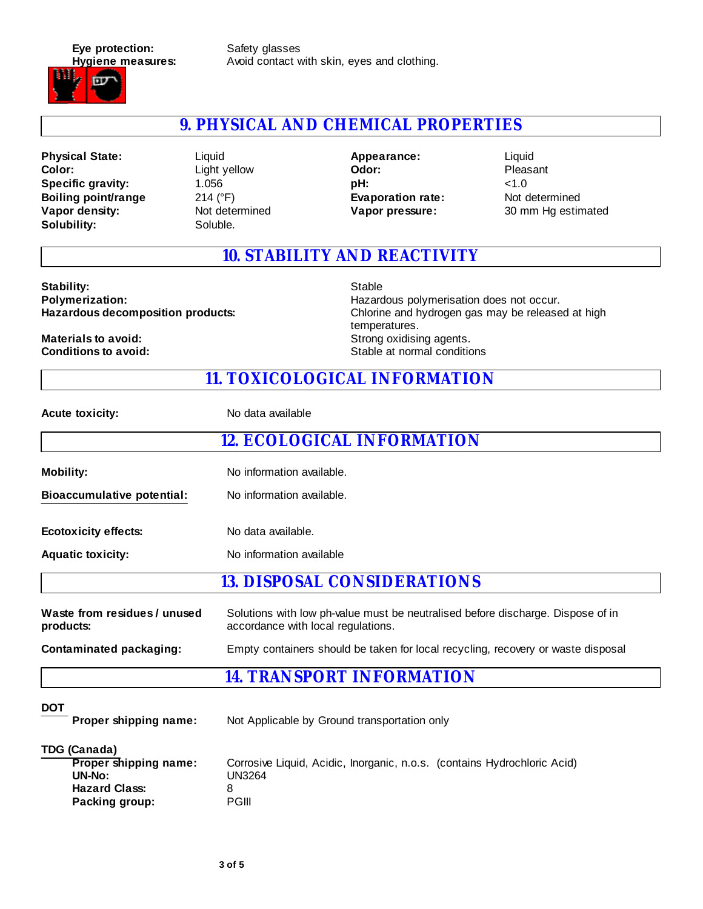**Eye protection:** Safety glasses



**Hygiene measures:** Avoid contact with skin, eyes and clothing.

## **9. PHYSICAL AND CHEMICAL PROPERTIES**

**Color: Vapor density:** Not determined **Physical State:** Solubility: Soluble. **Specific gravity:** 1.056 **Boiling point/range** 214 (°F)

Light yellow Liquid

**Evaporation rate:** Not determined **Odor: Appearance: pH:** <1.0

**Vapor pressure:** 30 mm Hg estimated Pleasant Liquid

## **10. STABILITY AND REACTIVITY**

Stability: Stable Stable Stable Stable Stable Stable Stable Stable Stable Stable Stable Stable Stable Stable Stable Stable Stable Stable Stable Stable Stable Stable Stable Stable Stable Stable Stable Stable Stable Stable S

**Polymerization: Polymerization: Hazardous polymerisation does not occur. Hazardous decomposition products:** Chlorine and hydrogen gas may be released at high temperatures. **Materials to avoid: Materials to avoid:** Strong oxidising agents. **Conditions to avoid:** Stable at normal conditions

## **11. TOXICOLOGICAL INFORMATION**

| <b>Acute toxicity:</b>                                                                                             | No data available                                                                                                     |  |  |  |  |
|--------------------------------------------------------------------------------------------------------------------|-----------------------------------------------------------------------------------------------------------------------|--|--|--|--|
|                                                                                                                    | <b>12. ECOLOGICAL INFORMATION</b>                                                                                     |  |  |  |  |
| <b>Mobility:</b>                                                                                                   | No information available.                                                                                             |  |  |  |  |
| <b>Bioaccumulative potential:</b>                                                                                  | No information available.                                                                                             |  |  |  |  |
| <b>Ecotoxicity effects:</b>                                                                                        | No data available.                                                                                                    |  |  |  |  |
| <b>Aquatic toxicity:</b>                                                                                           | No information available                                                                                              |  |  |  |  |
|                                                                                                                    | <b>13. DISPOSAL CONSIDERATIONS</b>                                                                                    |  |  |  |  |
| Waste from residues / unused<br>products:                                                                          | Solutions with low ph-value must be neutralised before discharge. Dispose of in<br>accordance with local regulations. |  |  |  |  |
| <b>Contaminated packaging:</b><br>Empty containers should be taken for local recycling, recovery or waste disposal |                                                                                                                       |  |  |  |  |
|                                                                                                                    | <b>14. TRANSPORT INFORMATION</b>                                                                                      |  |  |  |  |
| <b>DOT</b><br>Proper shipping name:                                                                                | Not Applicable by Ground transportation only                                                                          |  |  |  |  |
| <b>TDG (Canada)</b><br><b>Proper shipping name:</b><br>$UN-No:$<br><b>Hazard Class:</b>                            | Corrosive Liquid, Acidic, Inorganic, n.o.s. (contains Hydrochloric Acid)<br><b>UN3264</b><br>8                        |  |  |  |  |

**Packing group:** PGIII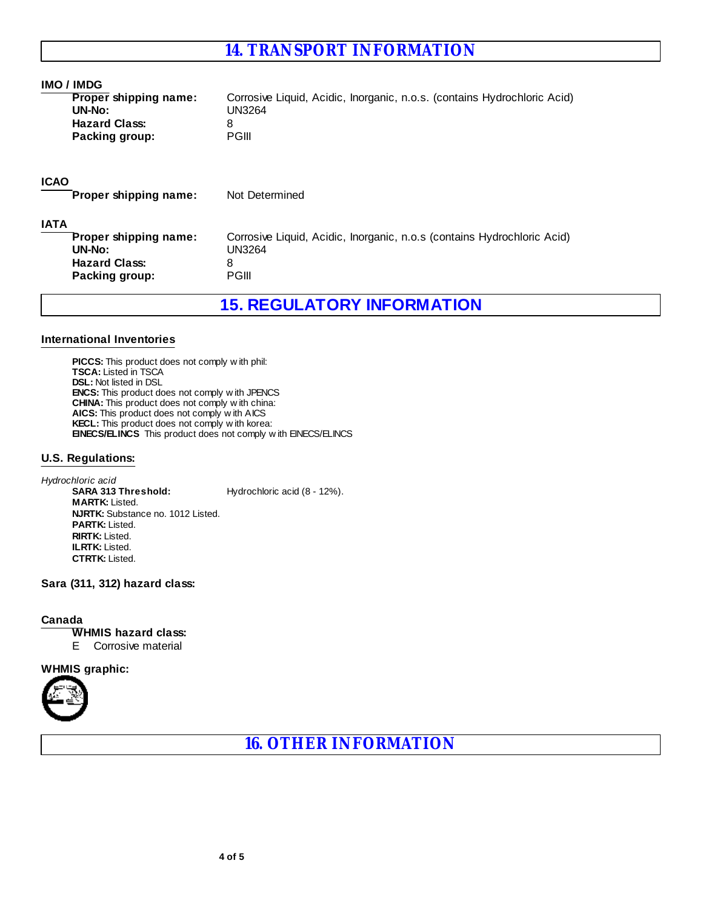## **14. TRANSPORT INFORMATION**

#### **IMO / IMDG**

| <b>Proper shipping name:</b> | Corrosive Liquid, Acidic, Inorganic, n.o.s. (contains Hydrochloric Acid) |
|------------------------------|--------------------------------------------------------------------------|
| UN-No:                       | UN3264                                                                   |
| <b>Hazard Class:</b>         |                                                                          |
| Packing group:               | PGIII                                                                    |

### **ICAO**

**Proper shipping name:** Not Determined

#### **IATA**

| Proper shipping name: | Corrosive Liquid, Acidic, Inorganic, n.o.s (contains Hydrochloric Acid) |
|-----------------------|-------------------------------------------------------------------------|
| UN-No:                | UN3264                                                                  |
| <b>Hazard Class:</b>  |                                                                         |
| Packing group:        | PGIII                                                                   |

**15. REGULATORY INFORMATION**

## **International Inventories**

**PICCS:** This product does not comply w ith phil: **TSCA:** Listed in TSCA **DSL:** Not listed in DSL **ENCS:** This product does not comply w ith JPENCS **CHINA:** This product does not comply w ith china: **AICS:** This product does not comply w ith AICS **KECL:** This product does not comply w ith korea: **EINECS/ELINCS** This product does not comply w ith EINECS/ELINCS

## **U.S. Regulations:**

**MARTK:** Listed. **ILRTK:** Listed. **SARA 313 Threshold: CTRTK:** Listed. **NJRTK:** Substance no. 1012 Listed. Hydrochloric acid (8 - 12%). **PARTK:** Listed. *Hydrochloric acid* **RIRTK:** Listed.

## **Sara (311, 312) hazard class:**

#### **Canada**

### **WHMIS hazard class:**

E Corrosive material

#### **WHMIS graphic:**



**16. OTHER INFORMATION**